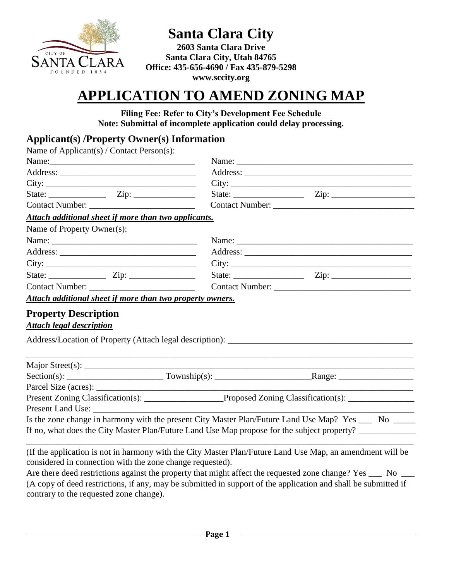

**Santa Clara City** 

**2603 Santa Clara Drive Santa Clara City, Utah 84765 Office: 435-656-4690 / Fax 435-879-5298 www.sccity.org**

# **APPLICATION TO AMEND ZONING MAP**

**Filing Fee: Refer to City's Development Fee Schedule Note: Submittal of incomplete application could delay processing.** 

## **Applicant(s) /Property Owner(s) Information**

| Name of Applicant(s) / Contact Person(s):                      |                                                                                                      |                                                                                                        |  |  |
|----------------------------------------------------------------|------------------------------------------------------------------------------------------------------|--------------------------------------------------------------------------------------------------------|--|--|
|                                                                |                                                                                                      |                                                                                                        |  |  |
|                                                                |                                                                                                      |                                                                                                        |  |  |
|                                                                |                                                                                                      |                                                                                                        |  |  |
|                                                                |                                                                                                      |                                                                                                        |  |  |
|                                                                |                                                                                                      |                                                                                                        |  |  |
| Attach additional sheet if more than two applicants.           |                                                                                                      |                                                                                                        |  |  |
| Name of Property Owner(s):                                     |                                                                                                      |                                                                                                        |  |  |
|                                                                |                                                                                                      | Name:                                                                                                  |  |  |
|                                                                |                                                                                                      |                                                                                                        |  |  |
| $City: ____________$                                           |                                                                                                      |                                                                                                        |  |  |
| State: $\frac{Zip:$                                            |                                                                                                      |                                                                                                        |  |  |
|                                                                |                                                                                                      |                                                                                                        |  |  |
| Attach additional sheet if more than two property owners.      |                                                                                                      |                                                                                                        |  |  |
| <b>Property Description</b><br><b>Attach legal description</b> |                                                                                                      |                                                                                                        |  |  |
|                                                                |                                                                                                      |                                                                                                        |  |  |
|                                                                |                                                                                                      |                                                                                                        |  |  |
|                                                                |                                                                                                      |                                                                                                        |  |  |
|                                                                |                                                                                                      |                                                                                                        |  |  |
|                                                                | Present Zoning Classification(s): __________________Proposed Zoning Classification(s): _____________ |                                                                                                        |  |  |
| Present Land Use:                                              |                                                                                                      |                                                                                                        |  |  |
|                                                                |                                                                                                      | Is the zone change in harmony with the present City Master Plan/Future Land Use Map? Yes ____ No _____ |  |  |
|                                                                |                                                                                                      | If no, what does the City Master Plan/Future Land Use Map propose for the subject property?            |  |  |

(If the application is not in harmony with the City Master Plan/Future Land Use Map, an amendment will be considered in connection with the zone change requested).

\_\_\_\_\_\_\_\_\_\_\_\_\_\_\_\_\_\_\_\_\_\_\_\_\_\_\_\_\_\_\_\_\_\_\_\_\_\_\_\_\_\_\_\_\_\_\_\_\_\_\_\_\_\_\_\_\_\_\_\_\_\_\_\_\_\_\_\_\_\_\_\_\_\_\_\_\_\_\_\_\_\_\_\_\_\_\_\_

Are there deed restrictions against the property that might affect the requested zone change? Yes \_\_\_ No \_\_\_ (A copy of deed restrictions, if any, may be submitted in support of the application and shall be submitted if contrary to the requested zone change).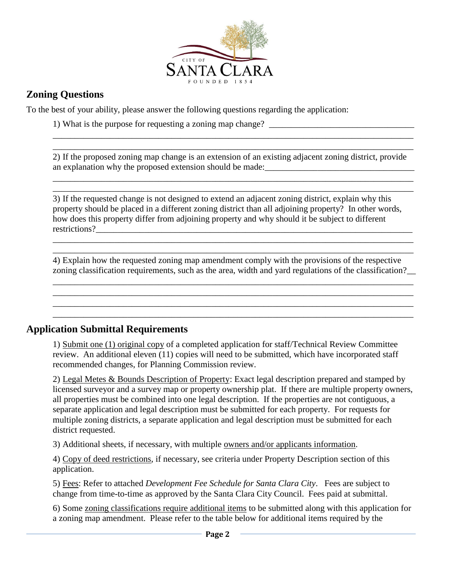

## **Zoning Questions**

To the best of your ability, please answer the following questions regarding the application:

1) What is the purpose for requesting a zoning map change? \_\_\_\_\_\_\_\_\_\_\_\_\_\_\_\_\_\_\_\_\_\_\_\_\_\_\_\_\_\_\_\_\_

2) If the proposed zoning map change is an extension of an existing adjacent zoning district, provide an explanation why the proposed extension should be made:

\_\_\_\_\_\_\_\_\_\_\_\_\_\_\_\_\_\_\_\_\_\_\_\_\_\_\_\_\_\_\_\_\_\_\_\_\_\_\_\_\_\_\_\_\_\_\_\_\_\_\_\_\_\_\_\_\_\_\_\_\_\_\_\_\_\_\_\_\_\_\_\_\_\_\_\_\_\_\_\_\_\_ \_\_\_\_\_\_\_\_\_\_\_\_\_\_\_\_\_\_\_\_\_\_\_\_\_\_\_\_\_\_\_\_\_\_\_\_\_\_\_\_\_\_\_\_\_\_\_\_\_\_\_\_\_\_\_\_\_\_\_\_\_\_\_\_\_\_\_\_\_\_\_\_\_\_\_\_\_\_\_\_\_\_

\_\_\_\_\_\_\_\_\_\_\_\_\_\_\_\_\_\_\_\_\_\_\_\_\_\_\_\_\_\_\_\_\_\_\_\_\_\_\_\_\_\_\_\_\_\_\_\_\_\_\_\_\_\_\_\_\_\_\_\_\_\_\_\_\_\_\_\_\_\_\_\_\_\_\_\_\_\_\_\_\_\_ \_\_\_\_\_\_\_\_\_\_\_\_\_\_\_\_\_\_\_\_\_\_\_\_\_\_\_\_\_\_\_\_\_\_\_\_\_\_\_\_\_\_\_\_\_\_\_\_\_\_\_\_\_\_\_\_\_\_\_\_\_\_\_\_\_\_\_\_\_\_\_\_\_\_\_\_\_\_\_\_\_\_

3) If the requested change is not designed to extend an adjacent zoning district, explain why this property should be placed in a different zoning district than all adjoining property? In other words, how does this property differ from adjoining property and why should it be subject to different restrictions?

4) Explain how the requested zoning map amendment comply with the provisions of the respective zoning classification requirements, such as the area, width and yard regulations of the classification?\_\_

\_\_\_\_\_\_\_\_\_\_\_\_\_\_\_\_\_\_\_\_\_\_\_\_\_\_\_\_\_\_\_\_\_\_\_\_\_\_\_\_\_\_\_\_\_\_\_\_\_\_\_\_\_\_\_\_\_\_\_\_\_\_\_\_\_\_\_\_\_\_\_\_\_\_\_\_\_\_\_\_\_\_ \_\_\_\_\_\_\_\_\_\_\_\_\_\_\_\_\_\_\_\_\_\_\_\_\_\_\_\_\_\_\_\_\_\_\_\_\_\_\_\_\_\_\_\_\_\_\_\_\_\_\_\_\_\_\_\_\_\_\_\_\_\_\_\_\_\_\_\_\_\_\_\_\_\_\_\_\_\_\_\_\_\_ \_\_\_\_\_\_\_\_\_\_\_\_\_\_\_\_\_\_\_\_\_\_\_\_\_\_\_\_\_\_\_\_\_\_\_\_\_\_\_\_\_\_\_\_\_\_\_\_\_\_\_\_\_\_\_\_\_\_\_\_\_\_\_\_\_\_\_\_\_\_\_\_\_\_\_\_\_\_\_\_\_\_ \_\_\_\_\_\_\_\_\_\_\_\_\_\_\_\_\_\_\_\_\_\_\_\_\_\_\_\_\_\_\_\_\_\_\_\_\_\_\_\_\_\_\_\_\_\_\_\_\_\_\_\_\_\_\_\_\_\_\_\_\_\_\_\_\_\_\_\_\_\_\_\_\_\_\_\_\_\_\_\_\_\_

\_\_\_\_\_\_\_\_\_\_\_\_\_\_\_\_\_\_\_\_\_\_\_\_\_\_\_\_\_\_\_\_\_\_\_\_\_\_\_\_\_\_\_\_\_\_\_\_\_\_\_\_\_\_\_\_\_\_\_\_\_\_\_\_\_\_\_\_\_\_\_\_\_\_\_\_\_\_\_\_\_\_ \_\_\_\_\_\_\_\_\_\_\_\_\_\_\_\_\_\_\_\_\_\_\_\_\_\_\_\_\_\_\_\_\_\_\_\_\_\_\_\_\_\_\_\_\_\_\_\_\_\_\_\_\_\_\_\_\_\_\_\_\_\_\_\_\_\_\_\_\_\_\_\_\_\_\_\_\_\_\_\_\_\_

#### **Application Submittal Requirements**

1) Submit one (1) original copy of a completed application for staff/Technical Review Committee review. An additional eleven (11) copies will need to be submitted, which have incorporated staff recommended changes, for Planning Commission review.

2) Legal Metes & Bounds Description of Property: Exact legal description prepared and stamped by licensed surveyor and a survey map or property ownership plat. If there are multiple property owners, all properties must be combined into one legal description. If the properties are not contiguous, a separate application and legal description must be submitted for each property. For requests for multiple zoning districts, a separate application and legal description must be submitted for each district requested.

3) Additional sheets, if necessary, with multiple owners and/or applicants information.

4) Copy of deed restrictions, if necessary, see criteria under Property Description section of this application.

5) Fees: Refer to attached *Development Fee Schedule for Santa Clara City*. Fees are subject to change from time-to-time as approved by the Santa Clara City Council. Fees paid at submittal.

6) Some zoning classifications require additional items to be submitted along with this application for a zoning map amendment. Please refer to the table below for additional items required by the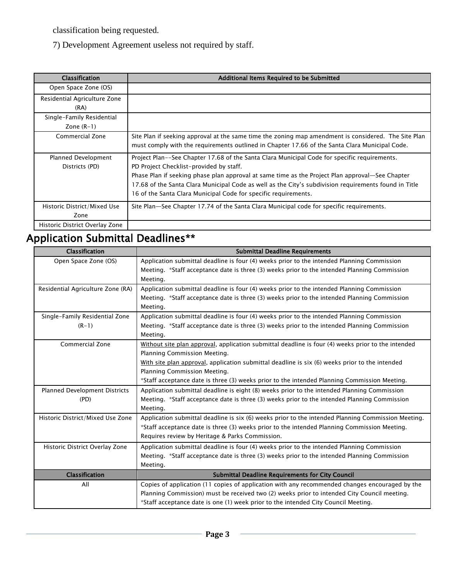classification being requested.

7) Development Agreement useless not required by staff.

| <b>Classification</b>                     | Additional Items Required to be Submitted                                                                                                                                                                                                                                                                                                                                                                              |
|-------------------------------------------|------------------------------------------------------------------------------------------------------------------------------------------------------------------------------------------------------------------------------------------------------------------------------------------------------------------------------------------------------------------------------------------------------------------------|
| Open Space Zone (OS)                      |                                                                                                                                                                                                                                                                                                                                                                                                                        |
| Residential Agriculture Zone<br>(RA)      |                                                                                                                                                                                                                                                                                                                                                                                                                        |
| Single-Family Residential<br>Zone $(R-1)$ |                                                                                                                                                                                                                                                                                                                                                                                                                        |
| Commercial Zone                           | Site Plan if seeking approval at the same time the zoning map amendment is considered. The Site Plan<br>must comply with the requirements outlined in Chapter 17.66 of the Santa Clara Municipal Code.                                                                                                                                                                                                                 |
| Planned Development<br>Districts (PD)     | Project Plan--See Chapter 17.68 of the Santa Clara Municipal Code for specific requirements.<br>PD Project Checklist-provided by staff.<br>Phase Plan if seeking phase plan approval at same time as the Project Plan approval—See Chapter<br>17.68 of the Santa Clara Municipal Code as well as the City's subdivision requirements found in Title<br>16 of the Santa Clara Municipal Code for specific requirements. |
| Historic District/Mixed Use<br>Zone       | Site Plan—See Chapter 17.74 of the Santa Clara Municipal code for specific requirements.                                                                                                                                                                                                                                                                                                                               |
| Historic District Overlay Zone            |                                                                                                                                                                                                                                                                                                                                                                                                                        |

# Application Submittal Deadlines\*\*

| Classification                       | <b>Submittal Deadline Requirements</b>                                                             |
|--------------------------------------|----------------------------------------------------------------------------------------------------|
| Open Space Zone (OS)                 | Application submittal deadline is four (4) weeks prior to the intended Planning Commission         |
|                                      | Meeting. *Staff acceptance date is three (3) weeks prior to the intended Planning Commission       |
|                                      | Meeting.                                                                                           |
| Residential Agriculture Zone (RA)    | Application submittal deadline is four (4) weeks prior to the intended Planning Commission         |
|                                      | Meeting. *Staff acceptance date is three (3) weeks prior to the intended Planning Commission       |
|                                      | Meeting.                                                                                           |
| Single-Family Residential Zone       | Application submittal deadline is four (4) weeks prior to the intended Planning Commission         |
| $(R-1)$                              | Meeting. *Staff acceptance date is three (3) weeks prior to the intended Planning Commission       |
|                                      | Meeting.                                                                                           |
| <b>Commercial Zone</b>               | Without site plan approval, application submittal deadline is four (4) weeks prior to the intended |
|                                      | Planning Commission Meeting.                                                                       |
|                                      | With site plan approval, application submittal deadline is six (6) weeks prior to the intended     |
|                                      | Planning Commission Meeting.                                                                       |
|                                      | *Staff acceptance date is three (3) weeks prior to the intended Planning Commission Meeting.       |
| <b>Planned Development Districts</b> | Application submittal deadline is eight (8) weeks prior to the intended Planning Commission        |
| (PD)                                 | Meeting. *Staff acceptance date is three (3) weeks prior to the intended Planning Commission       |
|                                      | Meeting.                                                                                           |
| Historic District/Mixed Use Zone     | Application submittal deadline is six (6) weeks prior to the intended Planning Commission Meeting. |
|                                      | *Staff acceptance date is three (3) weeks prior to the intended Planning Commission Meeting.       |
|                                      | Requires review by Heritage & Parks Commission.                                                    |
| Historic District Overlay Zone       | Application submittal deadline is four (4) weeks prior to the intended Planning Commission         |
|                                      | Meeting. *Staff acceptance date is three (3) weeks prior to the intended Planning Commission       |
|                                      | Meeting.                                                                                           |
| Classification                       | <b>Submittal Deadline Requirements for City Council</b>                                            |
| All                                  | Copies of application (11 copies of application with any recommended changes encouraged by the     |
|                                      | Planning Commission) must be received two (2) weeks prior to intended City Council meeting.        |
|                                      | *Staff acceptance date is one (1) week prior to the intended City Council Meeting.                 |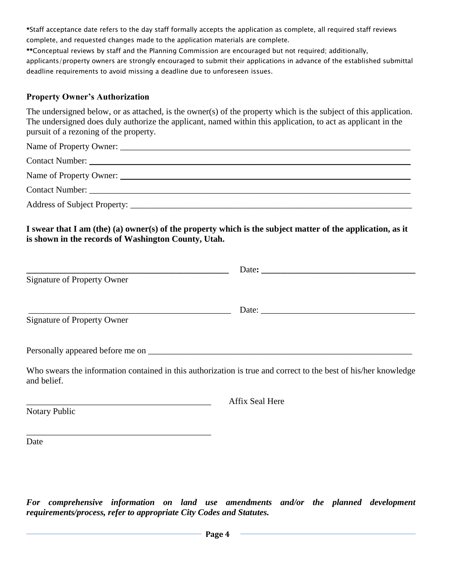\*Staff acceptance date refers to the day staff formally accepts the application as complete, all required staff reviews complete, and requested changes made to the application materials are complete.

\*\*Conceptual reviews by staff and the Planning Commission are encouraged but not required; additionally, applicants/property owners are strongly encouraged to submit their applications in advance of the established submittal deadline requirements to avoid missing a deadline due to unforeseen issues.

#### **Property Owner's Authorization**

The undersigned below, or as attached, is the owner(s) of the property which is the subject of this application. The undersigned does duly authorize the applicant, named within this application, to act as applicant in the pursuit of a rezoning of the property.

**I swear that I am (the) (a) owner(s) of the property which is the subject matter of the application, as it is shown in the records of Washington County, Utah.** 

| Signature of Property Owner |                                                                                                                                                                                                                                                                                                                                                                                                               |
|-----------------------------|---------------------------------------------------------------------------------------------------------------------------------------------------------------------------------------------------------------------------------------------------------------------------------------------------------------------------------------------------------------------------------------------------------------|
|                             | Date: $\frac{1}{\sqrt{1-\frac{1}{2}}\sqrt{1-\frac{1}{2}}\sqrt{1-\frac{1}{2}}\sqrt{1-\frac{1}{2}}\sqrt{1-\frac{1}{2}}\sqrt{1-\frac{1}{2}}\sqrt{1-\frac{1}{2}}\sqrt{1-\frac{1}{2}}\sqrt{1-\frac{1}{2}}\sqrt{1-\frac{1}{2}}\sqrt{1-\frac{1}{2}}\sqrt{1-\frac{1}{2}}\sqrt{1-\frac{1}{2}}\sqrt{1-\frac{1}{2}}\sqrt{1-\frac{1}{2}}\sqrt{1-\frac{1}{2}}\sqrt{1-\frac{1}{2}}\sqrt{1-\frac{1}{2}}\sqrt{1-\frac{1}{2}}$ |
| Signature of Property Owner |                                                                                                                                                                                                                                                                                                                                                                                                               |
|                             |                                                                                                                                                                                                                                                                                                                                                                                                               |
| and belief.                 | Who swears the information contained in this authorization is true and correct to the best of his/her knowledge                                                                                                                                                                                                                                                                                               |
|                             |                                                                                                                                                                                                                                                                                                                                                                                                               |

Notary Public

\_\_\_\_\_\_\_\_\_\_\_\_\_\_\_\_\_\_\_\_\_\_\_\_\_\_\_\_\_\_\_\_\_\_\_\_\_\_\_\_\_\_

\_\_\_\_\_\_\_\_\_\_\_\_\_\_\_\_\_\_\_\_\_\_\_\_\_\_\_\_\_\_\_\_\_\_\_\_\_\_\_\_\_\_ Affix Seal Here

Date

*For comprehensive information on land use amendments and/or the planned development requirements/process, refer to appropriate City Codes and Statutes.*

**Page 4**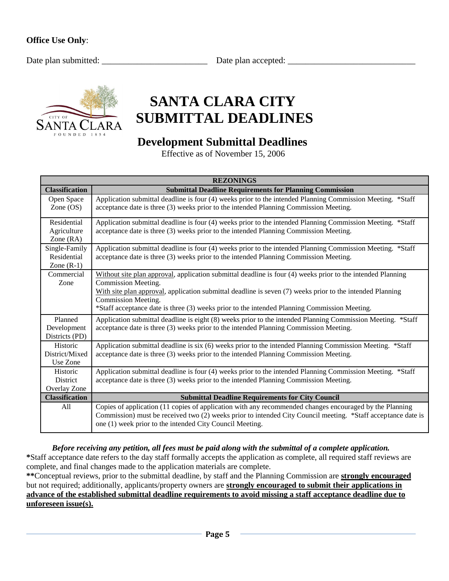Date plan submitted: \_\_\_\_\_\_\_\_\_\_\_\_\_\_\_\_\_\_\_\_\_\_\_\_ Date plan accepted: \_\_\_\_\_\_\_\_\_\_\_\_\_\_\_\_\_\_\_\_\_\_\_\_\_\_\_\_\_



# **SANTA CLARA CITY SUBMITTAL DEADLINES**

# **Development Submittal Deadlines**

Effective as of November 15, 2006

| <b>REZONINGS</b>          |                                                                                                                                                                                                     |  |
|---------------------------|-----------------------------------------------------------------------------------------------------------------------------------------------------------------------------------------------------|--|
| <b>Classification</b>     | <b>Submittal Deadline Requirements for Planning Commission</b>                                                                                                                                      |  |
| Open Space<br>Zone $OS$ ) | Application submittal deadline is four (4) weeks prior to the intended Planning Commission Meeting. *Staff<br>acceptance date is three (3) weeks prior to the intended Planning Commission Meeting. |  |
|                           |                                                                                                                                                                                                     |  |
| Residential               | Application submittal deadline is four (4) weeks prior to the intended Planning Commission Meeting. *Staff                                                                                          |  |
| Agriculture<br>Zone (RA)  | acceptance date is three (3) weeks prior to the intended Planning Commission Meeting.                                                                                                               |  |
| Single-Family             | Application submittal deadline is four (4) weeks prior to the intended Planning Commission Meeting. *Staff                                                                                          |  |
| Residential               | acceptance date is three (3) weeks prior to the intended Planning Commission Meeting.                                                                                                               |  |
| Zone $(R-1)$              |                                                                                                                                                                                                     |  |
| Commercial                | Without site plan approval, application submittal deadline is four (4) weeks prior to the intended Planning                                                                                         |  |
| Zone                      | Commission Meeting.                                                                                                                                                                                 |  |
|                           | With site plan approval, application submittal deadline is seven (7) weeks prior to the intended Planning                                                                                           |  |
|                           | Commission Meeting.                                                                                                                                                                                 |  |
|                           | *Staff acceptance date is three (3) weeks prior to the intended Planning Commission Meeting.                                                                                                        |  |
| Planned                   | Application submittal deadline is eight (8) weeks prior to the intended Planning Commission Meeting. *Staff                                                                                         |  |
| Development               | acceptance date is three (3) weeks prior to the intended Planning Commission Meeting.                                                                                                               |  |
| Districts (PD)            |                                                                                                                                                                                                     |  |
| Historic                  | Application submittal deadline is six (6) weeks prior to the intended Planning Commission Meeting. *Staff                                                                                           |  |
| District/Mixed            | acceptance date is three (3) weeks prior to the intended Planning Commission Meeting.                                                                                                               |  |
| Use Zone                  |                                                                                                                                                                                                     |  |
| Historic                  | Application submittal deadline is four (4) weeks prior to the intended Planning Commission Meeting. *Staff                                                                                          |  |
| District                  | acceptance date is three (3) weeks prior to the intended Planning Commission Meeting.                                                                                                               |  |
| Overlay Zone              |                                                                                                                                                                                                     |  |
| <b>Classification</b>     | <b>Submittal Deadline Requirements for City Council</b>                                                                                                                                             |  |
| A11                       | Copies of application (11 copies of application with any recommended changes encouraged by the Planning                                                                                             |  |
|                           | Commission) must be received two (2) weeks prior to intended City Council meeting. *Staff acceptance date is                                                                                        |  |
|                           | one (1) week prior to the intended City Council Meeting.                                                                                                                                            |  |

*Before receiving any petition, all fees must be paid along with the submittal of a complete application.*  **\***Staff acceptance date refers to the day staff formally accepts the application as complete, all required staff reviews are complete, and final changes made to the application materials are complete.

**\*\***Conceptual reviews, prior to the submittal deadline, by staff and the Planning Commission are **strongly encouraged** but not required; additionally, applicants/property owners are **strongly encouraged to submit their applications in advance of the established submittal deadline requirements to avoid missing a staff acceptance deadline due to unforeseen issue(s).**